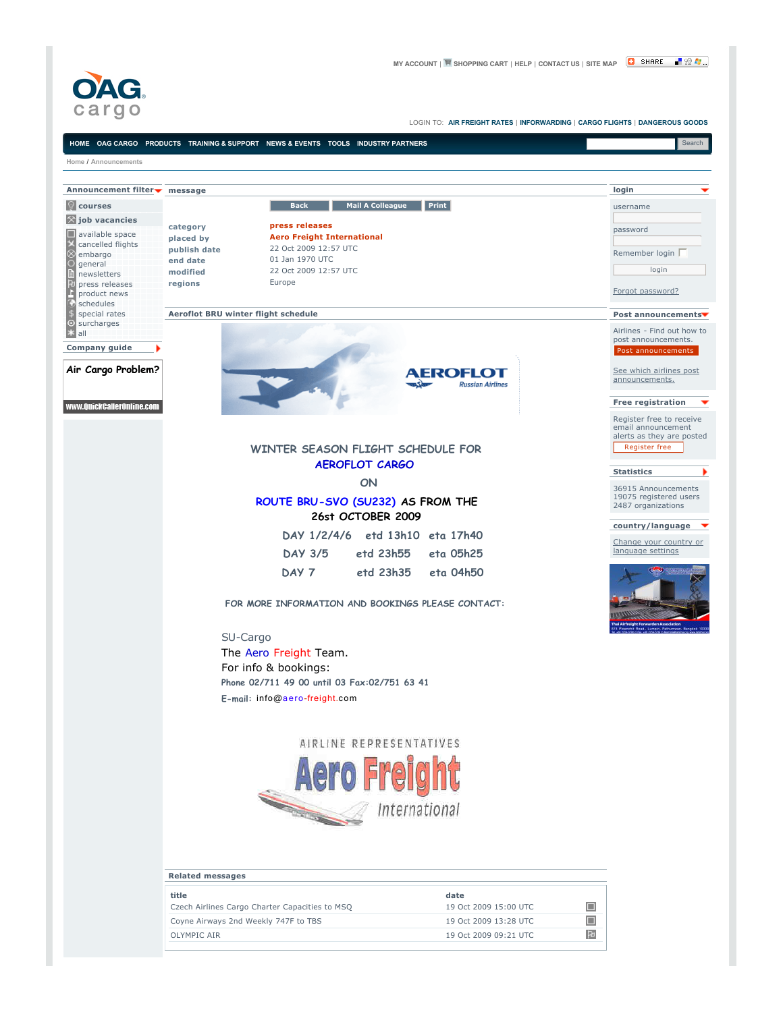

臣



OLYMPIC AIR 19 Oct 2009 09:21 UTC